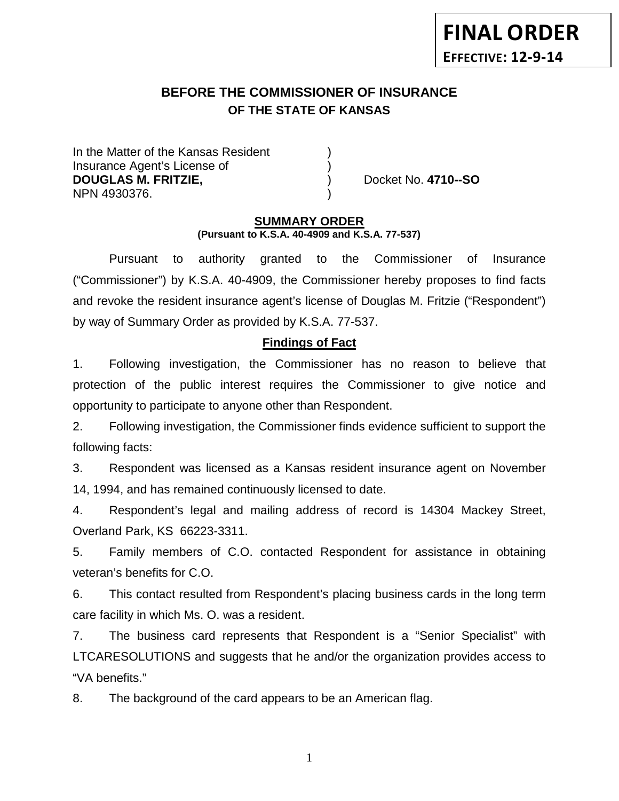# **BEFORE THE COMMISSIONER OF INSURANCE OF THE STATE OF KANSAS**

In the Matter of the Kansas Resident Insurance Agent's License of ) **DOUGLAS M. FRITZIE,** ) Docket No. **4710--SO** NPN 4930376. )

#### **SUMMARY ORDER (Pursuant to K.S.A. 40-4909 and K.S.A. 77-537)**

Pursuant to authority granted to the Commissioner of Insurance ("Commissioner") by K.S.A. 40-4909, the Commissioner hereby proposes to find facts and revoke the resident insurance agent's license of Douglas M. Fritzie ("Respondent") by way of Summary Order as provided by K.S.A. 77-537.

# **Findings of Fact**

1. Following investigation, the Commissioner has no reason to believe that protection of the public interest requires the Commissioner to give notice and opportunity to participate to anyone other than Respondent.

2. Following investigation, the Commissioner finds evidence sufficient to support the following facts:

3. Respondent was licensed as a Kansas resident insurance agent on November 14, 1994, and has remained continuously licensed to date.

4. Respondent's legal and mailing address of record is 14304 Mackey Street, Overland Park, KS 66223-3311.

5. Family members of C.O. contacted Respondent for assistance in obtaining veteran's benefits for C.O.

6. This contact resulted from Respondent's placing business cards in the long term care facility in which Ms. O. was a resident.

7. The business card represents that Respondent is a "Senior Specialist" with LTCARESOLUTIONS and suggests that he and/or the organization provides access to "VA benefits."

8. The background of the card appears to be an American flag.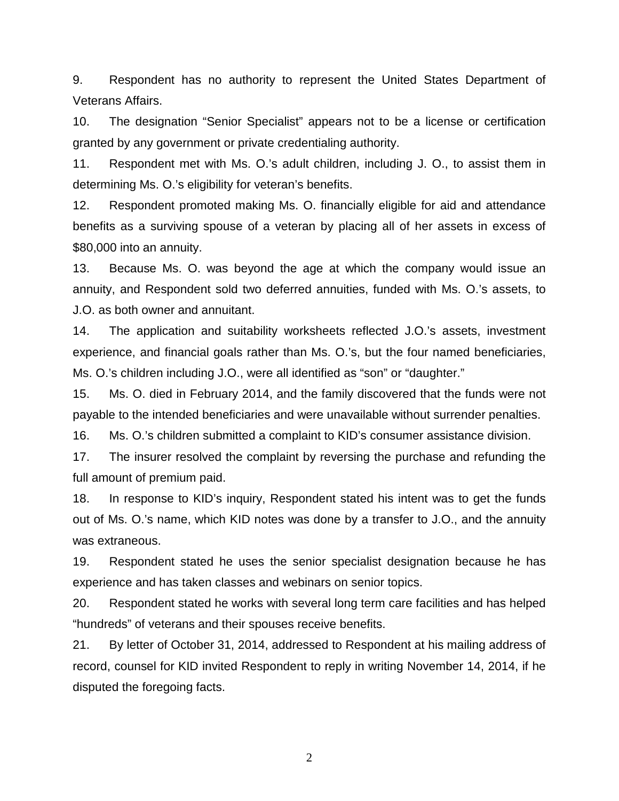9. Respondent has no authority to represent the United States Department of Veterans Affairs.

10. The designation "Senior Specialist" appears not to be a license or certification granted by any government or private credentialing authority.

11. Respondent met with Ms. O.'s adult children, including J. O., to assist them in determining Ms. O.'s eligibility for veteran's benefits.

12. Respondent promoted making Ms. O. financially eligible for aid and attendance benefits as a surviving spouse of a veteran by placing all of her assets in excess of \$80,000 into an annuity.

13. Because Ms. O. was beyond the age at which the company would issue an annuity, and Respondent sold two deferred annuities, funded with Ms. O.'s assets, to J.O. as both owner and annuitant.

14. The application and suitability worksheets reflected J.O.'s assets, investment experience, and financial goals rather than Ms. O.'s, but the four named beneficiaries, Ms. O.'s children including J.O., were all identified as "son" or "daughter."

15. Ms. O. died in February 2014, and the family discovered that the funds were not payable to the intended beneficiaries and were unavailable without surrender penalties.

16. Ms. O.'s children submitted a complaint to KID's consumer assistance division.

17. The insurer resolved the complaint by reversing the purchase and refunding the full amount of premium paid.

18. In response to KID's inquiry, Respondent stated his intent was to get the funds out of Ms. O.'s name, which KID notes was done by a transfer to J.O., and the annuity was extraneous.

19. Respondent stated he uses the senior specialist designation because he has experience and has taken classes and webinars on senior topics.

20. Respondent stated he works with several long term care facilities and has helped "hundreds" of veterans and their spouses receive benefits.

21. By letter of October 31, 2014, addressed to Respondent at his mailing address of record, counsel for KID invited Respondent to reply in writing November 14, 2014, if he disputed the foregoing facts.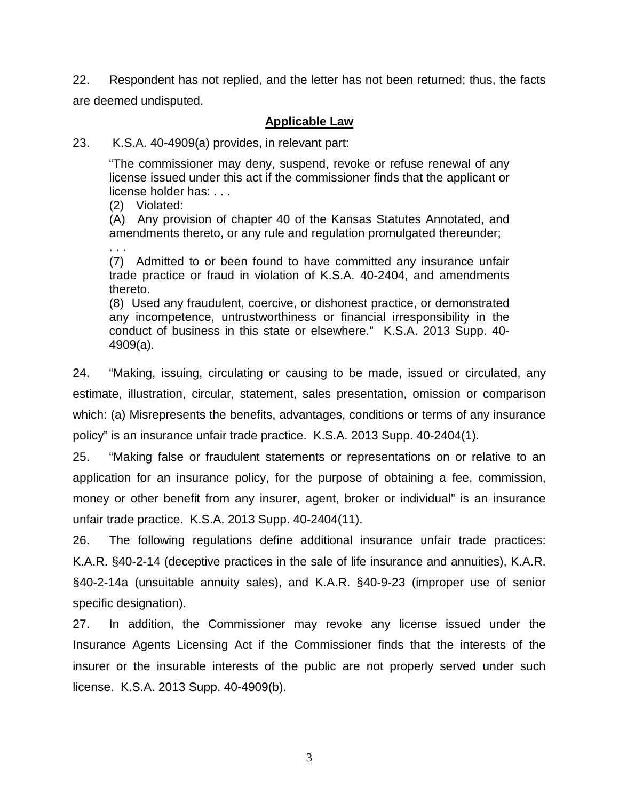22. Respondent has not replied, and the letter has not been returned; thus, the facts are deemed undisputed.

# **Applicable Law**

23. K.S.A. 40-4909(a) provides, in relevant part:

"The commissioner may deny, suspend, revoke or refuse renewal of any license issued under this act if the commissioner finds that the applicant or license holder has: . . .

(2) Violated:

(A) Any provision of chapter 40 of the Kansas Statutes Annotated, and amendments thereto, or any rule and regulation promulgated thereunder;

. . . (7) Admitted to or been found to have committed any insurance unfair trade practice or fraud in violation of K.S.A. 40-2404, and amendments thereto.

(8) Used any fraudulent, coercive, or dishonest practice, or demonstrated any incompetence, untrustworthiness or financial irresponsibility in the conduct of business in this state or elsewhere." K.S.A. 2013 Supp. 40- 4909(a).

24. "Making, issuing, circulating or causing to be made, issued or circulated, any estimate, illustration, circular, statement, sales presentation, omission or comparison which: (a) Misrepresents the benefits, advantages, conditions or terms of any insurance policy" is an insurance unfair trade practice. K.S.A. 2013 Supp. 40-2404(1).

25. "Making false or fraudulent statements or representations on or relative to an application for an insurance policy, for the purpose of obtaining a fee, commission, money or other benefit from any insurer, agent, broker or individual" is an insurance unfair trade practice. K.S.A. 2013 Supp. 40-2404(11).

26. The following regulations define additional insurance unfair trade practices: K.A.R. §40-2-14 (deceptive practices in the sale of life insurance and annuities), K.A.R. §40-2-14a (unsuitable annuity sales), and K.A.R. §40-9-23 (improper use of senior specific designation).

27. In addition, the Commissioner may revoke any license issued under the Insurance Agents Licensing Act if the Commissioner finds that the interests of the insurer or the insurable interests of the public are not properly served under such license. K.S.A. 2013 Supp. 40-4909(b).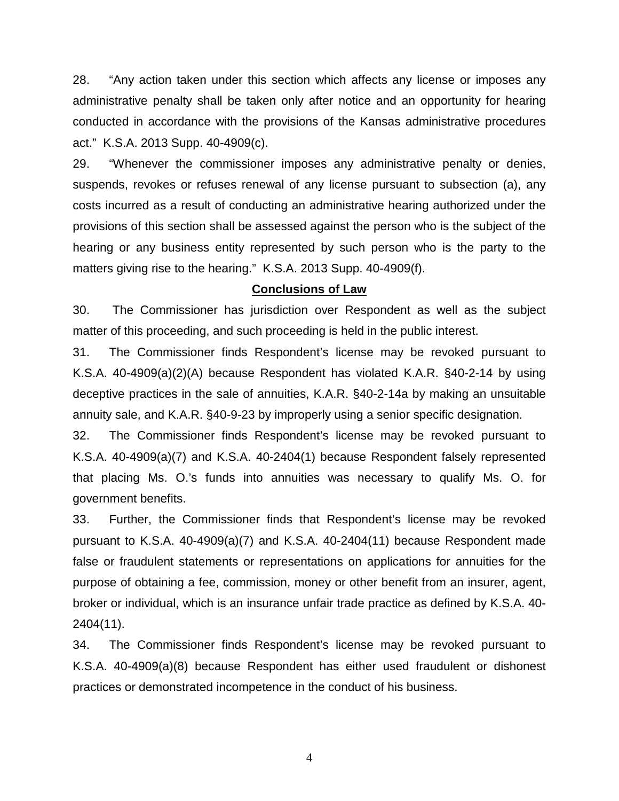28. "Any action taken under this section which affects any license or imposes any administrative penalty shall be taken only after notice and an opportunity for hearing conducted in accordance with the provisions of the Kansas administrative procedures act." K.S.A. 2013 Supp. 40-4909(c).

29. "Whenever the commissioner imposes any administrative penalty or denies, suspends, revokes or refuses renewal of any license pursuant to subsection (a), any costs incurred as a result of conducting an administrative hearing authorized under the provisions of this section shall be assessed against the person who is the subject of the hearing or any business entity represented by such person who is the party to the matters giving rise to the hearing." K.S.A. 2013 Supp. 40-4909(f).

#### **Conclusions of Law**

30. The Commissioner has jurisdiction over Respondent as well as the subject matter of this proceeding, and such proceeding is held in the public interest.

31. The Commissioner finds Respondent's license may be revoked pursuant to K.S.A. 40-4909(a)(2)(A) because Respondent has violated K.A.R. §40-2-14 by using deceptive practices in the sale of annuities, K.A.R. §40-2-14a by making an unsuitable annuity sale, and K.A.R. §40-9-23 by improperly using a senior specific designation.

32. The Commissioner finds Respondent's license may be revoked pursuant to K.S.A. 40-4909(a)(7) and K.S.A. 40-2404(1) because Respondent falsely represented that placing Ms. O.'s funds into annuities was necessary to qualify Ms. O. for government benefits.

33. Further, the Commissioner finds that Respondent's license may be revoked pursuant to K.S.A. 40-4909(a)(7) and K.S.A. 40-2404(11) because Respondent made false or fraudulent statements or representations on applications for annuities for the purpose of obtaining a fee, commission, money or other benefit from an insurer, agent, broker or individual, which is an insurance unfair trade practice as defined by K.S.A. 40- 2404(11).

34. The Commissioner finds Respondent's license may be revoked pursuant to K.S.A. 40-4909(a)(8) because Respondent has either used fraudulent or dishonest practices or demonstrated incompetence in the conduct of his business.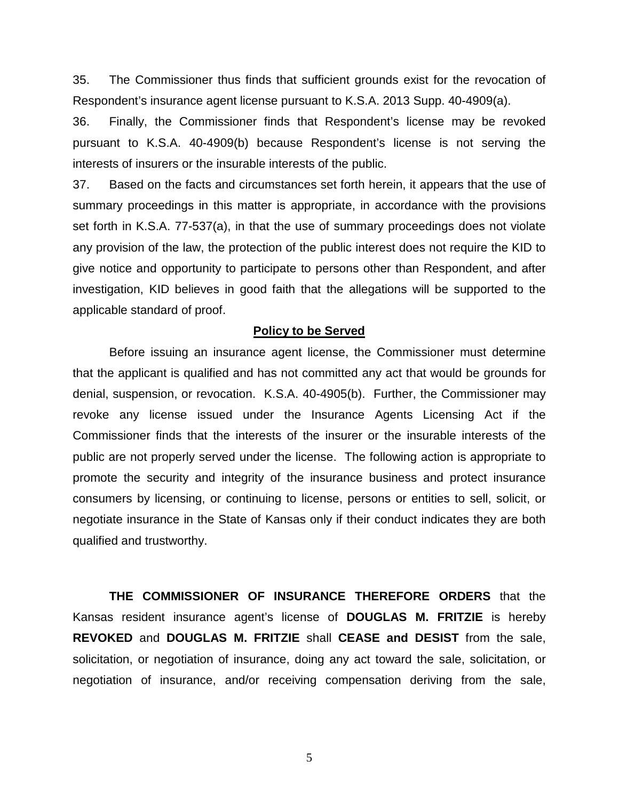35. The Commissioner thus finds that sufficient grounds exist for the revocation of Respondent's insurance agent license pursuant to K.S.A. 2013 Supp. 40-4909(a).

36. Finally, the Commissioner finds that Respondent's license may be revoked pursuant to K.S.A. 40-4909(b) because Respondent's license is not serving the interests of insurers or the insurable interests of the public.

37. Based on the facts and circumstances set forth herein, it appears that the use of summary proceedings in this matter is appropriate, in accordance with the provisions set forth in K.S.A. 77-537(a), in that the use of summary proceedings does not violate any provision of the law, the protection of the public interest does not require the KID to give notice and opportunity to participate to persons other than Respondent, and after investigation, KID believes in good faith that the allegations will be supported to the applicable standard of proof.

#### **Policy to be Served**

Before issuing an insurance agent license, the Commissioner must determine that the applicant is qualified and has not committed any act that would be grounds for denial, suspension, or revocation. K.S.A. 40-4905(b). Further, the Commissioner may revoke any license issued under the Insurance Agents Licensing Act if the Commissioner finds that the interests of the insurer or the insurable interests of the public are not properly served under the license. The following action is appropriate to promote the security and integrity of the insurance business and protect insurance consumers by licensing, or continuing to license, persons or entities to sell, solicit, or negotiate insurance in the State of Kansas only if their conduct indicates they are both qualified and trustworthy.

**THE COMMISSIONER OF INSURANCE THEREFORE ORDERS** that the Kansas resident insurance agent's license of **DOUGLAS M. FRITZIE** is hereby **REVOKED** and **DOUGLAS M. FRITZIE** shall **CEASE and DESIST** from the sale, solicitation, or negotiation of insurance, doing any act toward the sale, solicitation, or negotiation of insurance, and/or receiving compensation deriving from the sale,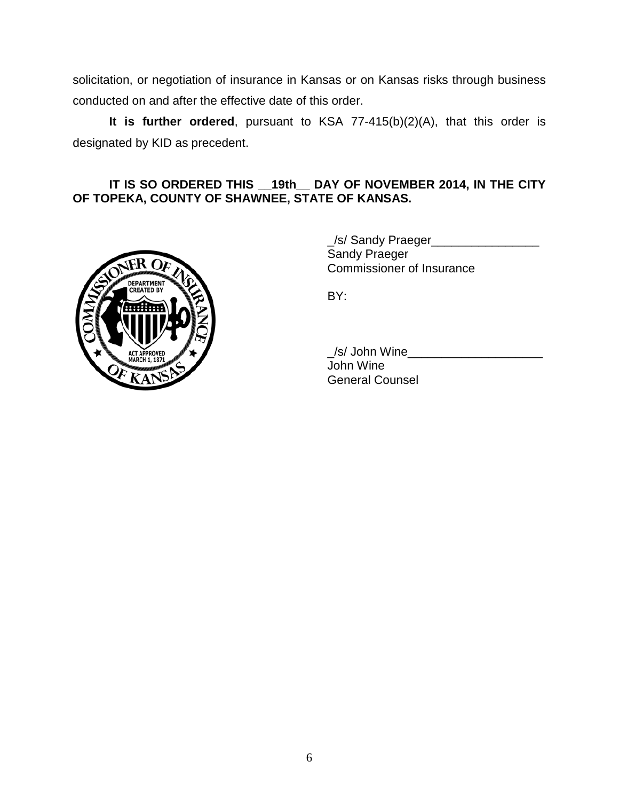solicitation, or negotiation of insurance in Kansas or on Kansas risks through business conducted on and after the effective date of this order.

**It is further ordered**, pursuant to KSA 77-415(b)(2)(A), that this order is designated by KID as precedent.

# **IT IS SO ORDERED THIS \_\_19th\_\_ DAY OF NOVEMBER 2014, IN THE CITY OF TOPEKA, COUNTY OF SHAWNEE, STATE OF KANSAS.**



\_/s/ Sandy Praeger\_\_\_\_\_\_\_\_\_\_\_\_\_\_\_\_ Sandy Praeger Commissioner of Insurance

BY:

 $\angle$ /s/ John Wine $\angle$ 

John Wine General Counsel